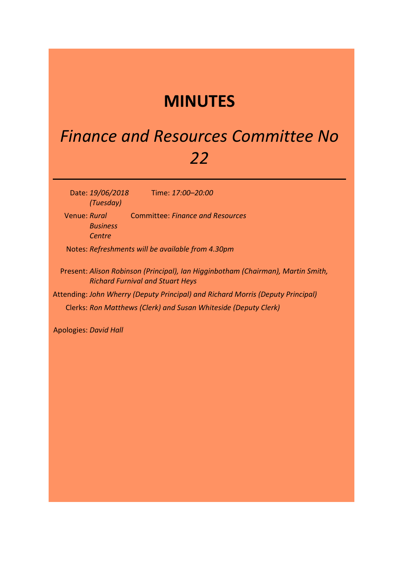## **MINUTES**

## *Finance and Resources Committee No 22*

Date: *19/06/2018 (Tuesday)*

Time: *17:00–20:00*

Venue: *Rural*  Committee: *Finance and Resources Business Centre*

Notes: *Refreshments will be available from 4.30pm*

Present: *Alison Robinson (Principal), Ian Higginbotham (Chairman), Martin Smith, Richard Furnival and Stuart Heys*

Attending: *John Wherry (Deputy Principal) and Richard Morris (Deputy Principal)* Clerks: *Ron Matthews (Clerk) and Susan Whiteside (Deputy Clerk)*

Apologies: *David Hall*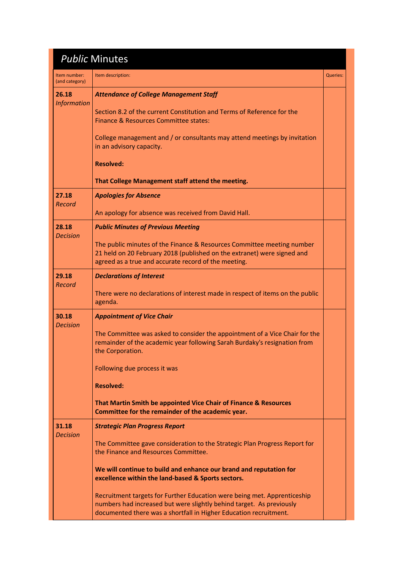|                                | <b>Public Minutes</b>                                                                                                                                                                                                                                                                                                                                               |          |
|--------------------------------|---------------------------------------------------------------------------------------------------------------------------------------------------------------------------------------------------------------------------------------------------------------------------------------------------------------------------------------------------------------------|----------|
| Item number:<br>(and category) | Item description:                                                                                                                                                                                                                                                                                                                                                   | Queries: |
| 26.18<br><b>Information</b>    | <b>Attendance of College Management Staff</b><br>Section 8.2 of the current Constitution and Terms of Reference for the<br>Finance & Resources Committee states:<br>College management and / or consultants may attend meetings by invitation                                                                                                                       |          |
|                                | in an advisory capacity.<br><b>Resolved:</b><br>That College Management staff attend the meeting.                                                                                                                                                                                                                                                                   |          |
| 27.18<br>Record                | <b>Apologies for Absence</b><br>An apology for absence was received from David Hall.                                                                                                                                                                                                                                                                                |          |
| 28.18                          | <b>Public Minutes of Previous Meeting</b>                                                                                                                                                                                                                                                                                                                           |          |
| <b>Decision</b>                | The public minutes of the Finance & Resources Committee meeting number<br>21 held on 20 February 2018 (published on the extranet) were signed and<br>agreed as a true and accurate record of the meeting.                                                                                                                                                           |          |
| 29.18<br>Record                | <b>Declarations of Interest</b>                                                                                                                                                                                                                                                                                                                                     |          |
|                                | There were no declarations of interest made in respect of items on the public<br>agenda.                                                                                                                                                                                                                                                                            |          |
| 30.18<br><b>Decision</b>       | <b>Appointment of Vice Chair</b><br>The Committee was asked to consider the appointment of a Vice Chair for the<br>remainder of the academic year following Sarah Burdaky's resignation from<br>the Corporation.<br>Following due process it was<br><b>Resolved:</b>                                                                                                |          |
|                                | That Martin Smith be appointed Vice Chair of Finance & Resources<br>Committee for the remainder of the academic year.                                                                                                                                                                                                                                               |          |
| 31.18<br><b>Decision</b>       | <b>Strategic Plan Progress Report</b><br>The Committee gave consideration to the Strategic Plan Progress Report for<br>the Finance and Resources Committee.<br>We will continue to build and enhance our brand and reputation for<br>excellence within the land-based & Sports sectors.<br>Recruitment targets for Further Education were being met. Apprenticeship |          |
|                                | numbers had increased but were slightly behind target. As previously<br>documented there was a shortfall in Higher Education recruitment.                                                                                                                                                                                                                           |          |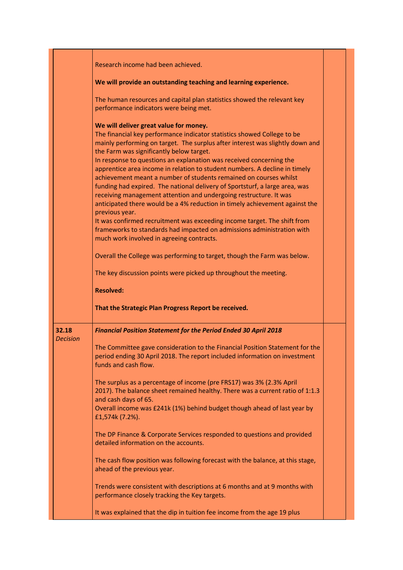|                          | Research income had been achieved.                                                                                                                                                                                                                                                                                                                                                                                                                                                                                                                                                                                                                                                                                                                                                                                                                                                                                                                                                                           |  |
|--------------------------|--------------------------------------------------------------------------------------------------------------------------------------------------------------------------------------------------------------------------------------------------------------------------------------------------------------------------------------------------------------------------------------------------------------------------------------------------------------------------------------------------------------------------------------------------------------------------------------------------------------------------------------------------------------------------------------------------------------------------------------------------------------------------------------------------------------------------------------------------------------------------------------------------------------------------------------------------------------------------------------------------------------|--|
|                          | We will provide an outstanding teaching and learning experience.                                                                                                                                                                                                                                                                                                                                                                                                                                                                                                                                                                                                                                                                                                                                                                                                                                                                                                                                             |  |
|                          | The human resources and capital plan statistics showed the relevant key<br>performance indicators were being met.                                                                                                                                                                                                                                                                                                                                                                                                                                                                                                                                                                                                                                                                                                                                                                                                                                                                                            |  |
|                          | We will deliver great value for money.<br>The financial key performance indicator statistics showed College to be<br>mainly performing on target. The surplus after interest was slightly down and<br>the Farm was significantly below target.<br>In response to questions an explanation was received concerning the<br>apprentice area income in relation to student numbers. A decline in timely<br>achievement meant a number of students remained on courses whilst<br>funding had expired. The national delivery of Sportsturf, a large area, was<br>receiving management attention and undergoing restructure. It was<br>anticipated there would be a 4% reduction in timely achievement against the<br>previous year.<br>It was confirmed recruitment was exceeding income target. The shift from<br>frameworks to standards had impacted on admissions administration with<br>much work involved in agreeing contracts.<br>Overall the College was performing to target, though the Farm was below. |  |
|                          | The key discussion points were picked up throughout the meeting.                                                                                                                                                                                                                                                                                                                                                                                                                                                                                                                                                                                                                                                                                                                                                                                                                                                                                                                                             |  |
|                          | <b>Resolved:</b>                                                                                                                                                                                                                                                                                                                                                                                                                                                                                                                                                                                                                                                                                                                                                                                                                                                                                                                                                                                             |  |
|                          | That the Strategic Plan Progress Report be received.                                                                                                                                                                                                                                                                                                                                                                                                                                                                                                                                                                                                                                                                                                                                                                                                                                                                                                                                                         |  |
| 32.18<br><b>Decision</b> | <b>Financial Position Statement for the Period Ended 30 April 2018</b>                                                                                                                                                                                                                                                                                                                                                                                                                                                                                                                                                                                                                                                                                                                                                                                                                                                                                                                                       |  |
|                          | The Committee gave consideration to the Financial Position Statement for the<br>period ending 30 April 2018. The report included information on investment<br>funds and cash flow.                                                                                                                                                                                                                                                                                                                                                                                                                                                                                                                                                                                                                                                                                                                                                                                                                           |  |
|                          | The surplus as a percentage of income (pre FRS17) was 3% (2.3% April<br>2017). The balance sheet remained healthy. There was a current ratio of 1:1.3<br>and cash days of 65.<br>Overall income was £241k (1%) behind budget though ahead of last year by<br>£1,574k (7.2%).                                                                                                                                                                                                                                                                                                                                                                                                                                                                                                                                                                                                                                                                                                                                 |  |
|                          | The DP Finance & Corporate Services responded to questions and provided<br>detailed information on the accounts.                                                                                                                                                                                                                                                                                                                                                                                                                                                                                                                                                                                                                                                                                                                                                                                                                                                                                             |  |
|                          | The cash flow position was following forecast with the balance, at this stage,<br>ahead of the previous year.                                                                                                                                                                                                                                                                                                                                                                                                                                                                                                                                                                                                                                                                                                                                                                                                                                                                                                |  |
|                          | Trends were consistent with descriptions at 6 months and at 9 months with<br>performance closely tracking the Key targets.                                                                                                                                                                                                                                                                                                                                                                                                                                                                                                                                                                                                                                                                                                                                                                                                                                                                                   |  |
|                          | It was explained that the dip in tuition fee income from the age 19 plus                                                                                                                                                                                                                                                                                                                                                                                                                                                                                                                                                                                                                                                                                                                                                                                                                                                                                                                                     |  |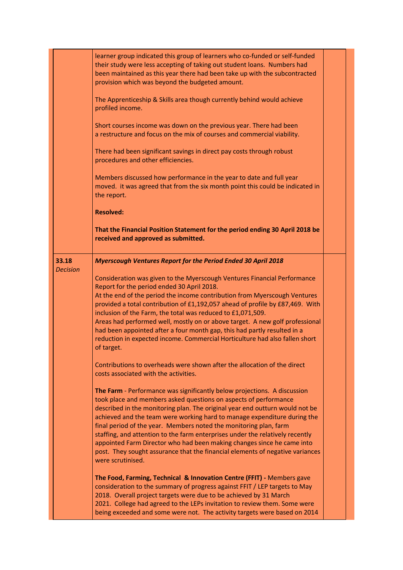|                          | learner group indicated this group of learners who co-funded or self-funded<br>their study were less accepting of taking out student loans. Numbers had<br>been maintained as this year there had been take up with the subcontracted<br>provision which was beyond the budgeted amount. |  |
|--------------------------|------------------------------------------------------------------------------------------------------------------------------------------------------------------------------------------------------------------------------------------------------------------------------------------|--|
|                          | The Apprenticeship & Skills area though currently behind would achieve<br>profiled income.                                                                                                                                                                                               |  |
|                          | Short courses income was down on the previous year. There had been<br>a restructure and focus on the mix of courses and commercial viability.                                                                                                                                            |  |
|                          | There had been significant savings in direct pay costs through robust<br>procedures and other efficiencies.                                                                                                                                                                              |  |
|                          | Members discussed how performance in the year to date and full year<br>moved. it was agreed that from the six month point this could be indicated in<br>the report.                                                                                                                      |  |
|                          | <b>Resolved:</b>                                                                                                                                                                                                                                                                         |  |
|                          | That the Financial Position Statement for the period ending 30 April 2018 be<br>received and approved as submitted.                                                                                                                                                                      |  |
| 33.18<br><b>Decision</b> | <b>Myerscough Ventures Report for the Period Ended 30 April 2018</b>                                                                                                                                                                                                                     |  |
|                          | Consideration was given to the Myerscough Ventures Financial Performance                                                                                                                                                                                                                 |  |
|                          | Report for the period ended 30 April 2018.<br>At the end of the period the income contribution from Myerscough Ventures                                                                                                                                                                  |  |
|                          | provided a total contribution of £1,192,057 ahead of profile by £87,469. With<br>inclusion of the Farm, the total was reduced to £1,071,509.                                                                                                                                             |  |
|                          | Areas had performed well, mostly on or above target. A new golf professional<br>had been appointed after a four month gap, this had partly resulted in a                                                                                                                                 |  |
|                          | reduction in expected income. Commercial Horticulture had also fallen short<br>of target.                                                                                                                                                                                                |  |
|                          | Contributions to overheads were shown after the allocation of the direct<br>costs associated with the activities.                                                                                                                                                                        |  |
|                          | The Farm - Performance was significantly below projections. A discussion<br>took place and members asked questions on aspects of performance                                                                                                                                             |  |
|                          | described in the monitoring plan. The original year end outturn would not be<br>achieved and the team were working hard to manage expenditure during the                                                                                                                                 |  |
|                          | final period of the year. Members noted the monitoring plan, farm<br>staffing, and attention to the farm enterprises under the relatively recently                                                                                                                                       |  |
|                          | appointed Farm Director who had been making changes since he came into<br>post. They sought assurance that the financial elements of negative variances<br>were scrutinised.                                                                                                             |  |
|                          | The Food, Farming, Technical & Innovation Centre (FFIT) - Members gave                                                                                                                                                                                                                   |  |
|                          | consideration to the summary of progress against FFIT / LEP targets to May<br>2018. Overall project targets were due to be achieved by 31 March                                                                                                                                          |  |
|                          | 2021. College had agreed to the LEPs invitation to review them. Some were<br>being exceeded and some were not. The activity targets were based on 2014                                                                                                                                   |  |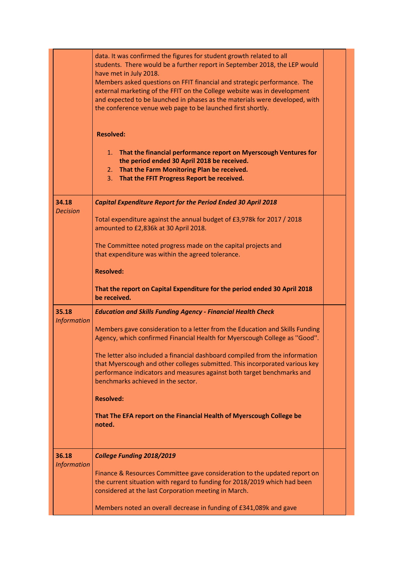|                    | data. It was confirmed the figures for student growth related to all<br>students. There would be a further report in September 2018, the LEP would<br>have met in July 2018.<br>Members asked questions on FFIT financial and strategic performance. The<br>external marketing of the FFIT on the College website was in development<br>and expected to be launched in phases as the materials were developed, with<br>the conference venue web page to be launched first shortly.<br><b>Resolved:</b> |  |
|--------------------|--------------------------------------------------------------------------------------------------------------------------------------------------------------------------------------------------------------------------------------------------------------------------------------------------------------------------------------------------------------------------------------------------------------------------------------------------------------------------------------------------------|--|
|                    | 1. That the financial performance report on Myerscough Ventures for<br>the period ended 30 April 2018 be received.<br>2. That the Farm Monitoring Plan be received.<br>That the FFIT Progress Report be received.<br>3.                                                                                                                                                                                                                                                                                |  |
| 34.18              | <b>Capital Expenditure Report for the Period Ended 30 April 2018</b>                                                                                                                                                                                                                                                                                                                                                                                                                                   |  |
| <b>Decision</b>    | Total expenditure against the annual budget of £3,978k for 2017 / 2018<br>amounted to £2,836k at 30 April 2018.                                                                                                                                                                                                                                                                                                                                                                                        |  |
|                    | The Committee noted progress made on the capital projects and<br>that expenditure was within the agreed tolerance.                                                                                                                                                                                                                                                                                                                                                                                     |  |
|                    | <b>Resolved:</b>                                                                                                                                                                                                                                                                                                                                                                                                                                                                                       |  |
|                    | That the report on Capital Expenditure for the period ended 30 April 2018                                                                                                                                                                                                                                                                                                                                                                                                                              |  |
|                    | be received.                                                                                                                                                                                                                                                                                                                                                                                                                                                                                           |  |
| 35.18              | <b>Education and Skills Funding Agency - Financial Health Check</b>                                                                                                                                                                                                                                                                                                                                                                                                                                    |  |
| <b>Information</b> | Members gave consideration to a letter from the Education and Skills Funding<br>Agency, which confirmed Financial Health for Myerscough College as "Good".                                                                                                                                                                                                                                                                                                                                             |  |
|                    | The letter also included a financial dashboard compiled from the information<br>that Myerscough and other colleges submitted. This incorporated various key<br>performance indicators and measures against both target benchmarks and<br>benchmarks achieved in the sector.                                                                                                                                                                                                                            |  |
|                    | <b>Resolved:</b>                                                                                                                                                                                                                                                                                                                                                                                                                                                                                       |  |
|                    | That The EFA report on the Financial Health of Myerscough College be<br>noted.                                                                                                                                                                                                                                                                                                                                                                                                                         |  |
| 36.18              | College Funding 2018/2019                                                                                                                                                                                                                                                                                                                                                                                                                                                                              |  |
| <b>Information</b> | Finance & Resources Committee gave consideration to the updated report on<br>the current situation with regard to funding for 2018/2019 which had been<br>considered at the last Corporation meeting in March.                                                                                                                                                                                                                                                                                         |  |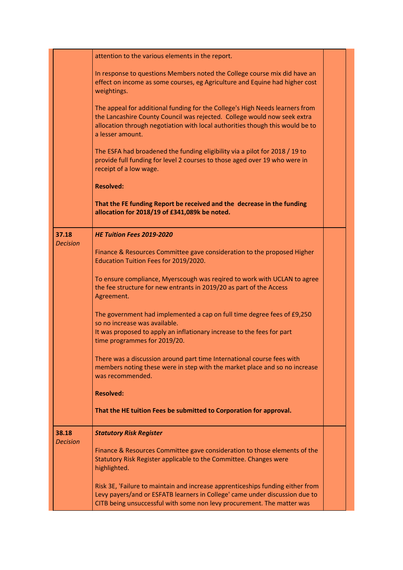|                          | attention to the various elements in the report.                                                                                                                                                                                                              |  |
|--------------------------|---------------------------------------------------------------------------------------------------------------------------------------------------------------------------------------------------------------------------------------------------------------|--|
|                          | In response to questions Members noted the College course mix did have an<br>effect on income as some courses, eg Agriculture and Equine had higher cost<br>weightings.                                                                                       |  |
|                          | The appeal for additional funding for the College's High Needs learners from<br>the Lancashire County Council was rejected. College would now seek extra<br>allocation through negotiation with local authorities though this would be to<br>a lesser amount. |  |
|                          | The ESFA had broadened the funding eligibility via a pilot for 2018 / 19 to<br>provide full funding for level 2 courses to those aged over 19 who were in<br>receipt of a low wage.                                                                           |  |
|                          | <b>Resolved:</b>                                                                                                                                                                                                                                              |  |
|                          | That the FE funding Report be received and the decrease in the funding<br>allocation for 2018/19 of £341,089k be noted.                                                                                                                                       |  |
| 37.18<br><b>Decision</b> | <b>HE Tuition Fees 2019-2020</b>                                                                                                                                                                                                                              |  |
|                          | Finance & Resources Committee gave consideration to the proposed Higher<br>Education Tuition Fees for 2019/2020.                                                                                                                                              |  |
|                          | To ensure compliance, Myerscough was reqired to work with UCLAN to agree<br>the fee structure for new entrants in 2019/20 as part of the Access<br>Agreement.                                                                                                 |  |
|                          | The government had implemented a cap on full time degree fees of £9,250<br>so no increase was available.<br>It was proposed to apply an inflationary increase to the fees for part<br>time programmes for 2019/20.                                            |  |
|                          | There was a discussion around part time International course fees with<br>members noting these were in step with the market place and so no increase<br>was recommended.                                                                                      |  |
|                          | <b>Resolved:</b>                                                                                                                                                                                                                                              |  |
|                          | That the HE tuition Fees be submitted to Corporation for approval.                                                                                                                                                                                            |  |
| 38.18<br><b>Decision</b> | <b>Statutory Risk Register</b>                                                                                                                                                                                                                                |  |
|                          | Finance & Resources Committee gave consideration to those elements of the<br>Statutory Risk Register applicable to the Committee. Changes were<br>highlighted.                                                                                                |  |
|                          | Risk 3E, 'Failure to maintain and increase apprenticeships funding either from<br>Levy payers/and or ESFATB learners in College' came under discussion due to<br>CITB being unsuccessful with some non levy procurement. The matter was                       |  |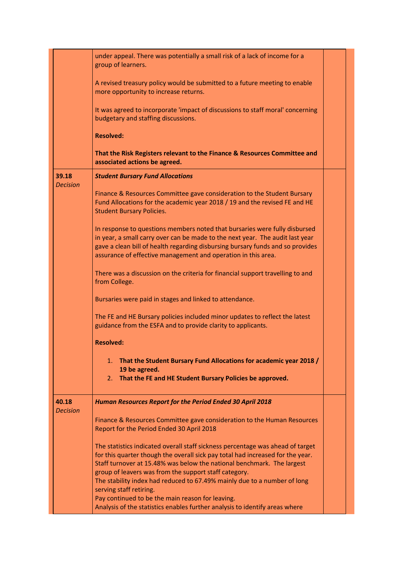|                          | under appeal. There was potentially a small risk of a lack of income for a<br>group of learners.                                                                                                                                                                                                               |  |
|--------------------------|----------------------------------------------------------------------------------------------------------------------------------------------------------------------------------------------------------------------------------------------------------------------------------------------------------------|--|
|                          | A revised treasury policy would be submitted to a future meeting to enable<br>more opportunity to increase returns.                                                                                                                                                                                            |  |
|                          | It was agreed to incorporate 'impact of discussions to staff moral' concerning<br>budgetary and staffing discussions.                                                                                                                                                                                          |  |
|                          | <b>Resolved:</b>                                                                                                                                                                                                                                                                                               |  |
|                          | That the Risk Registers relevant to the Finance & Resources Committee and<br>associated actions be agreed.                                                                                                                                                                                                     |  |
| 39.18<br><b>Decision</b> | <b>Student Bursary Fund Allocations</b>                                                                                                                                                                                                                                                                        |  |
|                          | Finance & Resources Committee gave consideration to the Student Bursary<br>Fund Allocations for the academic year 2018 / 19 and the revised FE and HE<br><b>Student Bursary Policies.</b>                                                                                                                      |  |
|                          | In response to questions members noted that bursaries were fully disbursed<br>in year, a small carry over can be made to the next year. The audit last year<br>gave a clean bill of health regarding disbursing bursary funds and so provides<br>assurance of effective management and operation in this area. |  |
|                          | There was a discussion on the criteria for financial support travelling to and<br>from College.                                                                                                                                                                                                                |  |
|                          | Bursaries were paid in stages and linked to attendance.                                                                                                                                                                                                                                                        |  |
|                          | The FE and HE Bursary policies included minor updates to reflect the latest<br>guidance from the ESFA and to provide clarity to applicants.                                                                                                                                                                    |  |
|                          | <b>Resolved:</b>                                                                                                                                                                                                                                                                                               |  |
|                          | 1. That the Student Bursary Fund Allocations for academic year 2018 /<br>19 be agreed.                                                                                                                                                                                                                         |  |
|                          | That the FE and HE Student Bursary Policies be approved.<br>2.                                                                                                                                                                                                                                                 |  |
| 40.18<br>Decision        | Human Resources Report for the Period Ended 30 April 2018                                                                                                                                                                                                                                                      |  |
|                          | Finance & Resources Committee gave consideration to the Human Resources<br>Report for the Period Ended 30 April 2018                                                                                                                                                                                           |  |
|                          | The statistics indicated overall staff sickness percentage was ahead of target<br>for this quarter though the overall sick pay total had increased for the year.<br>Staff turnover at 15.48% was below the national benchmark. The largest<br>group of leavers was from the support staff category.            |  |
|                          | The stability index had reduced to 67.49% mainly due to a number of long<br>serving staff retiring.                                                                                                                                                                                                            |  |
|                          | Pay continued to be the main reason for leaving.<br>Analysis of the statistics enables further analysis to identify areas where                                                                                                                                                                                |  |